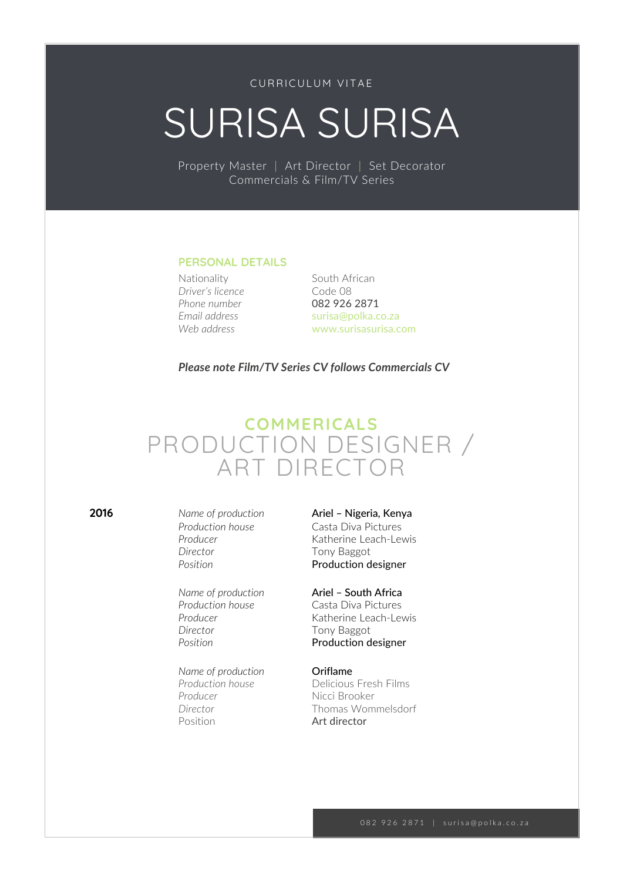CURRICULUM VITAE

# SURISA SURISA

Property Master | Art Director | Set Decorator Commercials & Film/TV Series

### **PERSONAL DETAILS**

*Driver's licence* Code 08 *Phone number* 082 926 2871

Nationality South African *Email address* surisa@polka.co.za *Web address* www.surisasurisa.com

*Please note Film/TV Series CV follows Commercials CV* 

## **COMMERICALS** PRODUCTION DESIGNER / ART DIRECTOR

*Production house* Casta Diva Pictures **Director Tony Baggot** Position **Production designer** 

*Production house* Casta Diva Pictures **Director Tony Baggot** 

*Name of production* **Oriflame**<br>*Production house* Delicious Producer Nicci Brooker Position **Art director** 

### **2016** *Name of production* Ariel – Nigeria, Kenya

*Producer* Katherine Leach-Lewis

### *Name of production* **Ariel – South Africa**

**Producer Katherine Leach-Lewis** Position **Production designer** 

*Production house* Delicious Fresh Films *Director* Thomas Wommelsdorf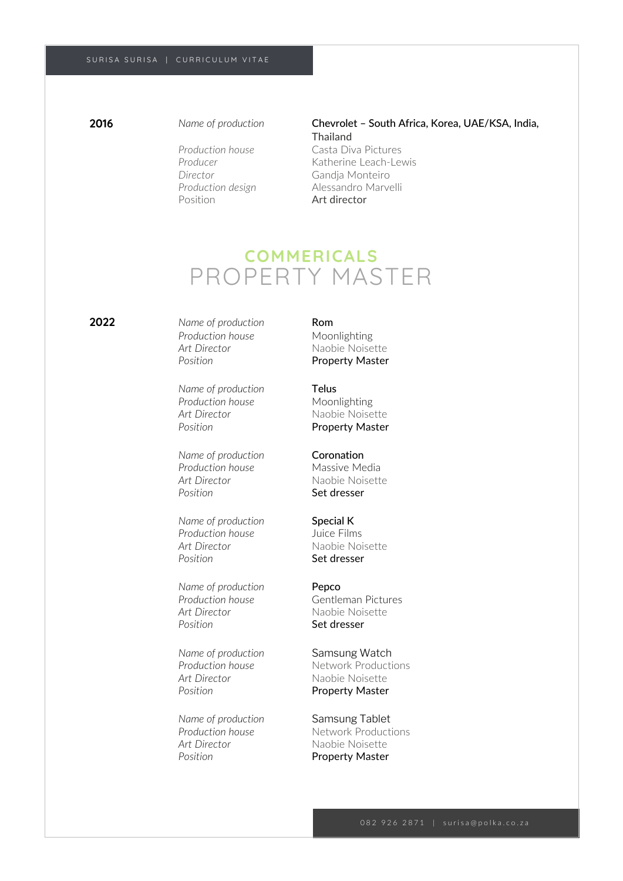### SURISA SURISA | CURRICULUM VITAE

Position **Art director** 

### **2016** *Name of production* Chevrolet – South Africa, Korea, UAE/KSA, India, **Thailand**

*Production house* Casta Diva Pictures Producer Katherine Leach-Lewis *Director* Gandja Monteiro *Production design* Alessandro Marvelli

## **COMMERICALS** PROPERTY MASTER

**2022** *Name of production* Rom *Production house* Moonlighting

> *Name of production* Telus **Production house** Moonlighting *Art Director* Naobie Noisette Position **Property Master**

> *Name of production* **Coronation** *Production house* Massive Media *Art Director* Naobie Noisette Position **Set dresser**

> *Name of production* **Special K** *Production house* Juice Films *Art Director* Naobie Noisette **Position Set dresser**

> *Name of production* **Pepco** *Art Director* Naobie Noisette Position **Set dresser**

**Name of production**<br>**Production house Network Production** *Art Director* Naobie Noisette Position **Property Master** 

*Name of production* Samsung Tablet *Art Director* Naobie Noisette Position **Property Master** 

*Art Director* Naobie Noisette Position **Property Master** 

**Production house Gentleman Pictures** 

**Network Productions** 

**Production house** Network Productions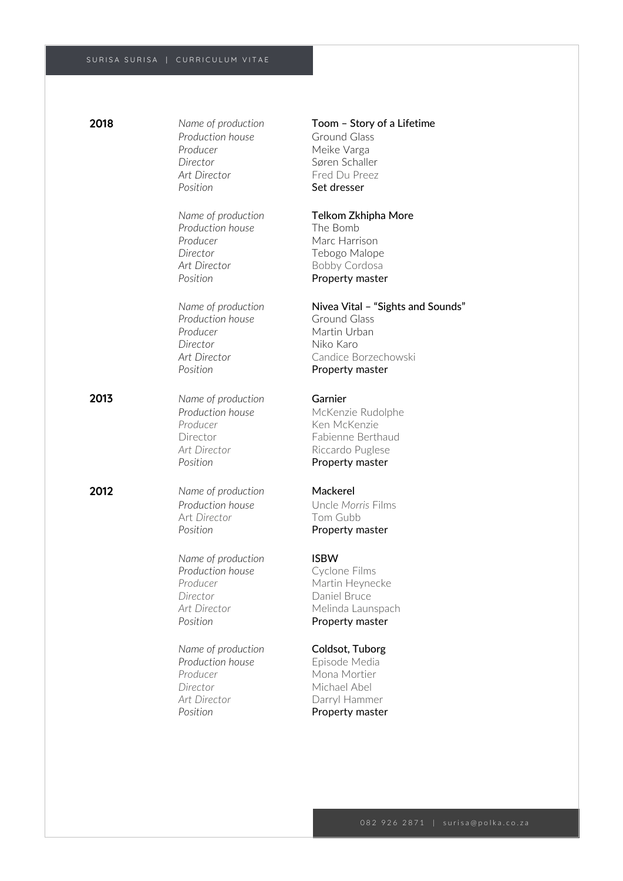| 2018 | Name of production<br>Production house<br>Producer<br>Director<br>Art Director<br>Position | Toom - Story of a Lifetime<br><b>Ground Glass</b><br>Meike Varga<br>Søren Schaller<br>Fred Du Preez<br>Set dresser        |
|------|--------------------------------------------------------------------------------------------|---------------------------------------------------------------------------------------------------------------------------|
|      | Name of production<br>Production house<br>Producer<br>Director<br>Art Director<br>Position | Telkom Zkhipha More<br>The Bomb<br>Marc Harrison<br>Tebogo Malope<br>Bobby Cordosa<br>Property master                     |
|      | Name of production<br>Production house<br>Producer<br>Director<br>Art Director<br>Position | Nivea Vital - "Sights and Sounds"<br>Ground Glass<br>Martin Urban<br>Niko Karo<br>Candice Borzechowski<br>Property master |
| 2013 | Name of production<br>Production house<br>Producer<br>Director<br>Art Director<br>Position | Garnier<br>McKenzie Rudolphe<br>Ken McKenzie<br>Fabienne Berthaud<br>Riccardo Puglese<br>Property master                  |
| 2012 | Name of production<br>Production house<br>Art Director<br>Position                         | Mackerel<br>Uncle Morris Films<br>Tom Gubb<br>Property master                                                             |
|      | Name of production<br>Production house<br>Producer<br>Director<br>Art Director<br>Position | <b>ISBW</b><br>Cyclone Films<br>Martin Hevnecke<br>Daniel Bruce<br>Melinda Launspach<br>Property master                   |
|      | Name of production<br>Production house<br>Producer<br>Director<br>Art Director<br>Position | Coldsot, Tuborg<br>Episode Media<br>Mona Mortier<br>Michael Abel<br>Darryl Hammer<br>Property master                      |
|      |                                                                                            |                                                                                                                           |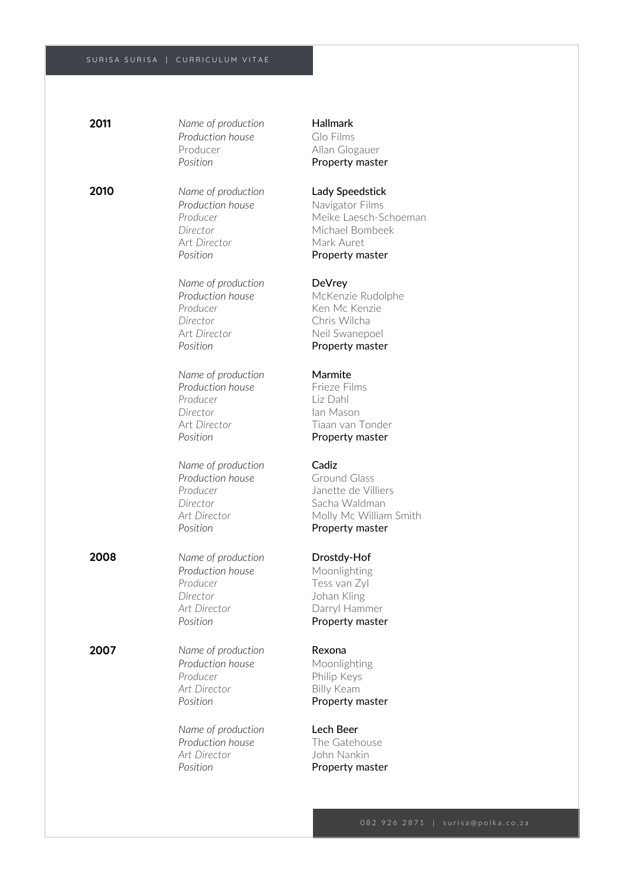| 2011 | Name of production<br>Production house<br>Producer<br>Position                             | <b>Hallmark</b><br>Glo Films<br>Allan Glogau<br>Property ma                               |
|------|--------------------------------------------------------------------------------------------|-------------------------------------------------------------------------------------------|
| 2010 | Name of production<br>Production house<br>Producer<br>Director<br>Art Director<br>Position | Lady Speeds<br>Navigator Fil<br>Meike Laescl<br>Michael Borr<br>Mark Auret<br>Property ma |
|      | Name of production<br>Production house<br>Producer<br>Director<br>Art Director<br>Position | <b>DeVrey</b><br>McKenzie Ru<br>Ken Mc Ken:<br>Chris Wilcha<br>Neil Swanep<br>Property ma |
|      | Name of production<br>Production house<br>Producer<br>Director<br>Art Director<br>Position | Marmite<br>Frieze Films<br>Liz Dahl<br>lan Mason<br>Tiaan van To<br>Property ma           |
|      | Name of production<br>Production house<br>Producer<br>Director<br>Art Director<br>Position | Cadiz<br><b>Ground Glas</b><br>Janette de V<br>Sacha Waldr<br>Molly Mc Wi<br>Property ma  |
| 2008 | Name of production<br>Production house<br>Producer<br>Director<br>Art Director<br>Position | Drostdy-Hof<br>Moonlighting<br>Tess van Zyl<br>Johan Kling<br>Darryl Hamn<br>Property ma  |
| 2007 | Name of production<br>Production house<br>Producer<br>Art Director<br>Position             | Rexona<br>Moonlighting<br>Philip Keys<br><b>Billy Keam</b><br>Property ma                 |
|      | Name of production<br>Production house<br>Art Director<br>Position                         | Lech Beer<br>The Gatehou<br>John Nankin<br>Property ma                                    |
|      |                                                                                            |                                                                                           |

ogauer **y** master

### **2010** *Name of production* Lady Speedstick

*Preduction Films Producer* Meike Laesch-Schoeman **Bombeek y** master

zie Rudolphe **Kenzie** *l*icha anepoel **y** master

Art *Director* Tiaan van Tonder **y** master

Glass de Villiers Valdman *Art Director* Molly Mc William Smith **y** master

*Production house* Moonlighting *n* Zyl *Art Director* Darryl Hammer **y** master

*Production house* Moonlighting **y** master

tehouse *Art Director* John Nankin **y** master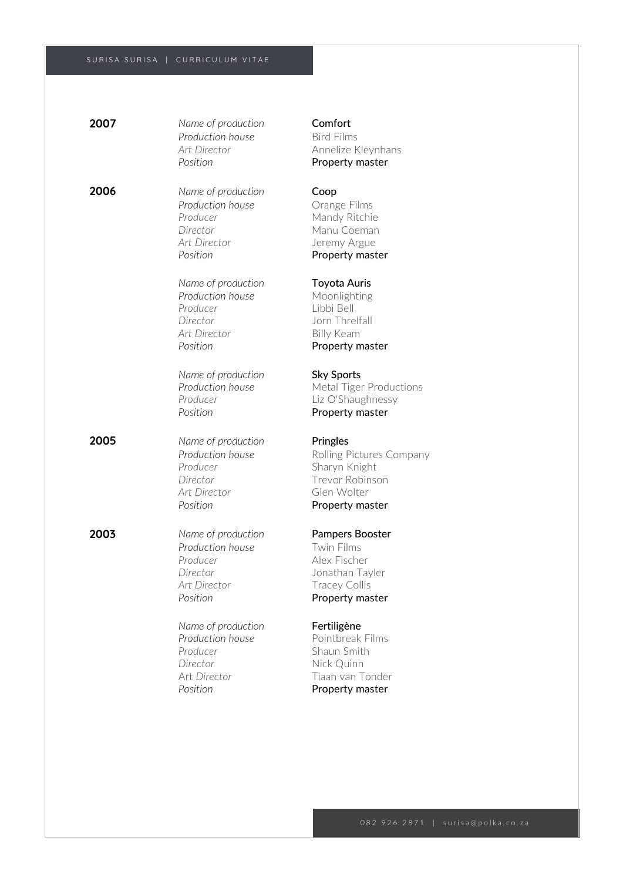### SURISA SURISA | CURRICULUM VITAE

| 2007 | Name of production<br>Production house<br>Art Director<br>Position                         | Comfort<br><b>Bird Film</b><br>Annelize<br>Property                             |
|------|--------------------------------------------------------------------------------------------|---------------------------------------------------------------------------------|
| 2006 | Name of production<br>Production house<br>Producer<br>Director<br>Art Director<br>Position | Coop<br>Orange<br>Mandy F<br>Manu C<br>Jeremy /<br>Property                     |
|      | Name of production<br>Production house<br>Producer<br>Director<br>Art Director<br>Position | Toyota /<br>Moonlig<br>Libbi Be<br>Jorn Thr<br><b>Billy Kea</b><br>Property     |
|      | Name of production<br>Production house<br>Producer<br>Position                             | Sky Spor<br>Metal Ti<br>Liz O'Sh<br>Property                                    |
| 2005 | Name of production<br>Production house<br>Producer<br>Director<br>Art Director<br>Position | Pringles<br>Rolling F<br>Sharyn k<br>Trevor <sub>F</sub><br>Glen Wo<br>Property |
| 2003 | Name of production<br>Production house<br>Producer<br>Director<br>Art Director<br>Position | Pampers<br>Twin Fili<br>Alex Fisc<br>Jonathar<br>Tracey C<br>Property           |
|      | Name of production<br>Production house<br>Producer<br>Director<br>Art Director<br>Position | Fertiligè<br>Pointbre<br>Shaun S<br>Nick Qu<br>Tiaan va<br>Property             |
|      |                                                                                            |                                                                                 |

rd Films *Art Director* Annelize Kleynhans operty master

**Production Films** andy Ritchie anu Coeman remy Argue operty master

### *Name of production* Toyota Auris

*Production house* Moonlighting *Producer* Libbi Bell rn Threlfall *Artigate* operty master

**y** Sports *Production house* Metal Tiger Productions *O'Shaughnessy* operty master

**Production Company** *Producer* Sharyn Knight *Director* Trevor Robinson en Wolter operty master

### **2003** *Name of production* Pampers Booster

*Production* **Px Fischer** nathan Tayler acey Collis operty master

### *Name of production* Fertiligène

*Production house* Pointbreak Films aun Smith ck Quinn aan van Tonder operty master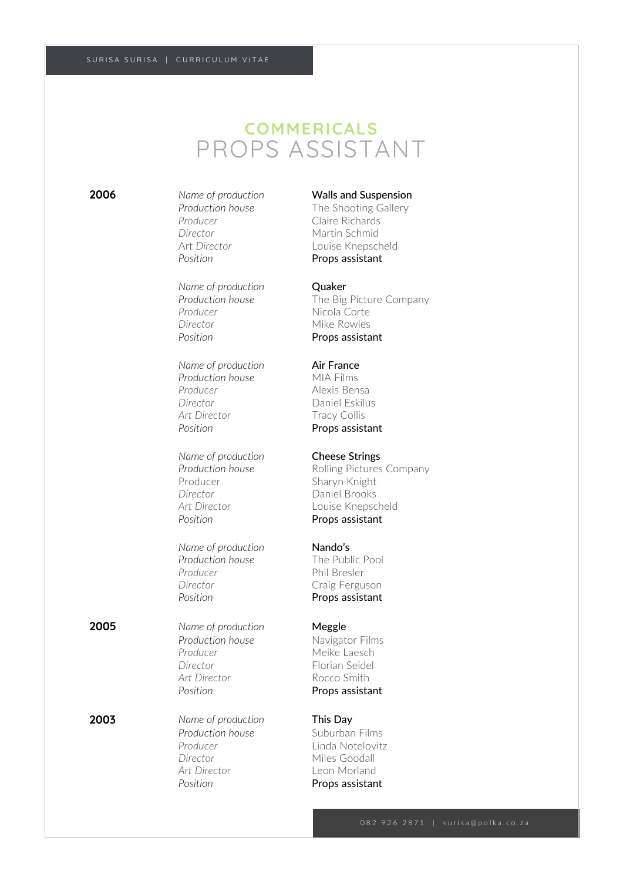## **COMMERICALS** PROPS ASSISTANT

| 2006 | Name of production<br>Production house<br>Producer<br>Director<br>Art Director<br>Position | <b>Walls and Suspension</b><br>The Shooting Gallery<br>Claire Richards<br>Martin Schmid<br>Louise Knepscheld<br>Props assistant |  |
|------|--------------------------------------------------------------------------------------------|---------------------------------------------------------------------------------------------------------------------------------|--|
|      | Name of production<br>Production house<br>Producer<br>Director<br>Position                 | Quaker<br>The Big Picture Comp.<br>Nicola Corte<br>Mike Rowles<br>Props assistant                                               |  |
|      | Name of production<br>Production house<br>Producer<br>Director<br>Art Director<br>Position | Air France<br>MIA Films<br>Alexis Bensa<br>Daniel Eskilus<br><b>Tracy Collis</b><br>Props assistant                             |  |
|      | Name of production<br>Production house<br>Producer<br>Director<br>Art Director<br>Position | <b>Cheese Strings</b><br>Rolling Pictures Comp<br>Sharyn Knight<br>Daniel Brooks<br>Louise Knepscheld<br>Props assistant        |  |
|      | Name of production<br>Production house<br>Producer<br>Director<br>Position                 | Nando's<br>The Public Pool<br>Phil Bresler<br>Craig Ferguson<br>Props assistant                                                 |  |
| 2005 | Name of production<br>Production house<br>Producer<br>Director<br>Art Director<br>Position | Meggle<br>Navigator Films<br>Meike Laesch<br>Florian Seidel<br>Rocco Smith<br>Props assistant                                   |  |
| 2003 | Name of production<br>Production house<br>Producer<br>Director                             | This Day<br>Suburban Films<br>Linda Notelovitz<br>Miles Goodall                                                                 |  |

*Production house* The Big Picture Company **Nicola Corte Mike Rowles** Props assistant

**Cheese Strings** *Production house* Rolling Pictures Company Sharyn Knight Daniel Brooks Louise Knepscheld Props assistant

### **Nando's**

**Suburban Films** Linda Notelovitz **Miles Goodall** *Art Director* Leon Morland Position **Props assistant**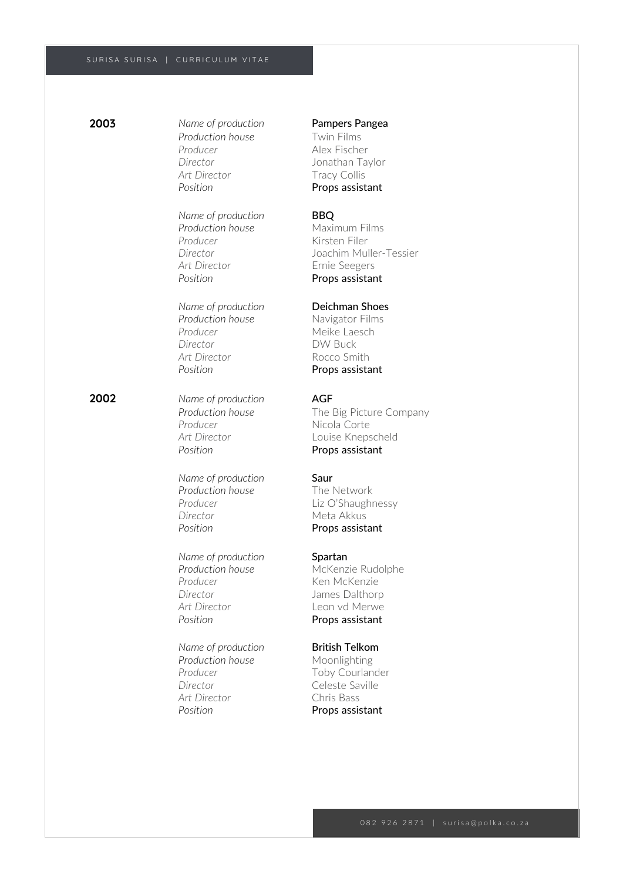| 2003 | Name of production<br>Production house<br>Producer<br>Director<br>Art Director<br>Position | Pampers Pan<br><b>Twin Films</b><br>Alex Fischer<br>Jonathan Tay<br><b>Tracy Collis</b><br>Props assista |
|------|--------------------------------------------------------------------------------------------|----------------------------------------------------------------------------------------------------------|
|      | Name of production<br>Production house<br>Producer<br>Director<br>Art Director<br>Position | <b>BBQ</b><br>Maximum Fil<br>Kirsten Filer<br>Joachim Mull<br>Ernie Seegers<br>Props assista             |
|      | Name of production<br>Production house<br>Producer<br>Director<br>Art Director<br>Position | Deichman Sh<br>Navigator Fil<br>Meike Laesch<br><b>DW Buck</b><br>Rocco Smith<br>Props assista           |
| 2002 | Name of production<br>Production house<br>Producer<br>Art Director<br>Position             | <b>AGF</b><br>The Big Pictu<br>Nicola Corte<br>Louise Kneps<br>Props assista                             |
|      | Name of production<br>Production house<br>Producer<br>Director<br>Position                 | Saur<br>The Network<br>Liz O'Shaugh<br>Meta Akkus<br>Props assista                                       |
|      | Name of production<br>Production house<br>Producer<br>Director<br>Art Director<br>Position | Spartan<br>McKenzie Ru<br>Ken McKenzi<br>James Daltho<br>Leon vd Mer<br>Props assista                    |
|      | Name of production<br>Production house<br>Producer<br>Director<br>Art Director<br>Position | <b>British Telkor</b><br>Moonlighting<br>Toby Courlar<br>Celeste Savill<br>Chris Bass<br>Props assista   |
|      |                                                                                            |                                                                                                          |

### **2003** *Name of production* Pampers Pangea

Taylor  $s$ istant

*Production house* Maximum Films **Muller-Tessier** agers  $s$ istant

### **n** Shoes

*Prefilms* aesch  $s$ istant

Picture Company *Art Director* Louise Knepscheld  $s$ istant

aughnessy  $s$ istant

 $P$ e Rudolphe  $\zeta$ enzie althorp *Merwe*  $s$ istant

### elkom

*Production house* Moonlighting urlander Saville  $s$ istant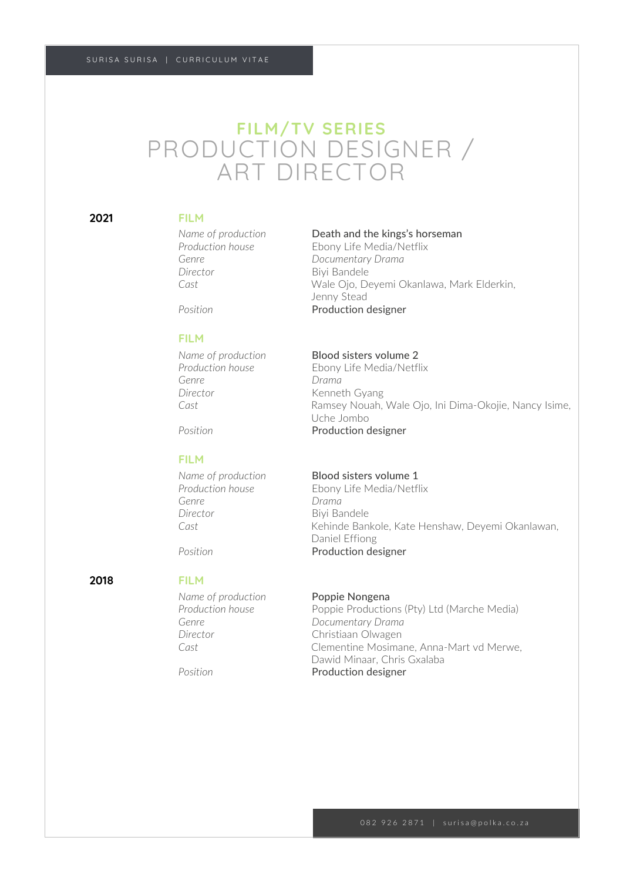## **FILM/TV SERIES** PRODUCTION DESIGNER / ART DIRECTOR

### **2021 FILM**

*Director* Biyi Bandele

### **FILM**

*Genre Drama Director* Kenneth Gyang

### **FILM**

*Genre Drama* **Director** Bivi Bandele

### **2018 FILM**

*Name of production* **Poppie Nongena** 

### *Name of production* Death and the kings's horseman

*Production house* Ebony Life Media/Netflix *Genre Documentary Drama Cast* Wale Ojo, Deyemi Okanlawa, Mark Elderkin, Jenny Stead Position **Production designer** 

### *Name of production* **Blood sisters volume 2**

*Production house* Ebony Life Media/Netflix *Cast* Ramsey Nouah, Wale Ojo, Ini Dima-Okojie, Nancy Isime, Uche Jombo Position **Production designer** 

### *Name of production* **Blood sisters volume 1**

*Production house* Ebony Life Media/Netflix *Cast* Kehinde Bankole, Kate Henshaw, Deyemi Okanlawan, Daniel Effiong Position **Production designer** 

Production house **Productions** Poppie Productions (Pty) Ltd (Marche Media) *Genre Documentary Drama Director* Christiaan Olwagen *Cast* Clementine Mosimane, Anna-Mart vd Merwe, Dawid Minaar, Chris Gxalaba Position **Production designer**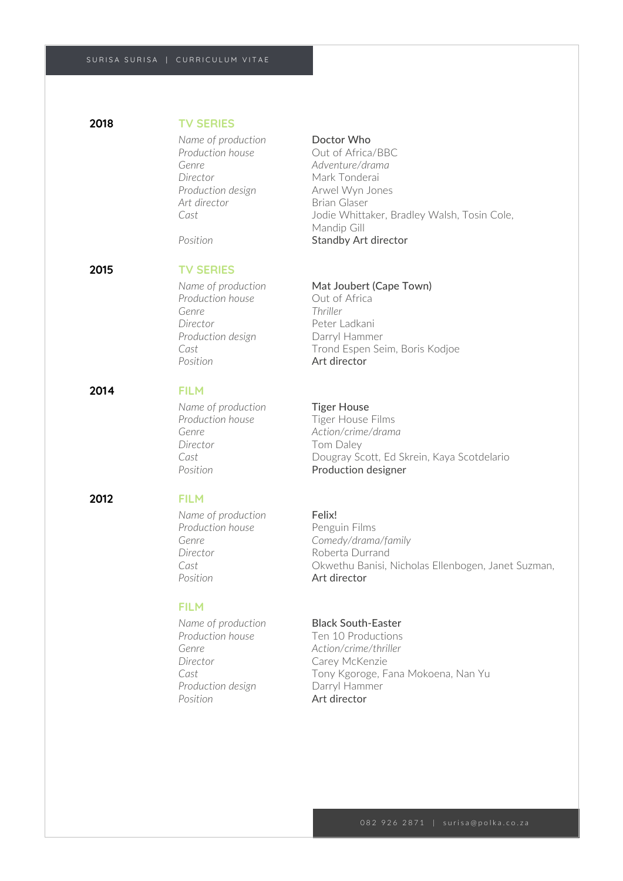*Name of production* **Doctor Who** *Production house* Out of Africa/BBC *Genre Adventure/drama Director* Mark Tonderai *Production design* Arwel Wyn Jones **Art director Brian Glaser** 

### **2015 TV SERIES**

*Name of production*<br>*Production house* **Mat Joubert (Cape Town)**<br>*Out of Africa Production house Genre Thriller Director* Peter Ladkani **Production design Contact Darryl Hammer** Position **Art director** 

### **2014 FILM**

*Name of production* **Tiger House**<br>**Production house Tiger House** *Director* Tom Daley

### **2012 FILM**

*Name of production* **Felix! Production house** Penguin Films *Director* Roberta Durrand Position **Art director** 

### **FILM**

*Name of production* **Black South-Easter**<br>**Production house Ten 10 Productions** *Genre Action/crime/thriller Director* Carey McKenzie **Production design Contact Darryl Hammer** Position **Art director** 

*Cast* Jodie Whittaker, Bradley Walsh, Tosin Cole, Mandip Gill Position **Standby Art director** 

*Cast* Trond Espen Seim, Boris Kodjoe

*Produce* Films *Genre Action/crime/drama Cast* Dougray Scott, Ed Skrein, Kaya Scotdelario Position **Production designer** 

*Genre Comedy/drama/family Cast* Okwethu Banisi, Nicholas Ellenbogen, Janet Suzman,

**Ten 10 Productions** Cast **Tony Kgoroge, Fana Mokoena, Nan Yu**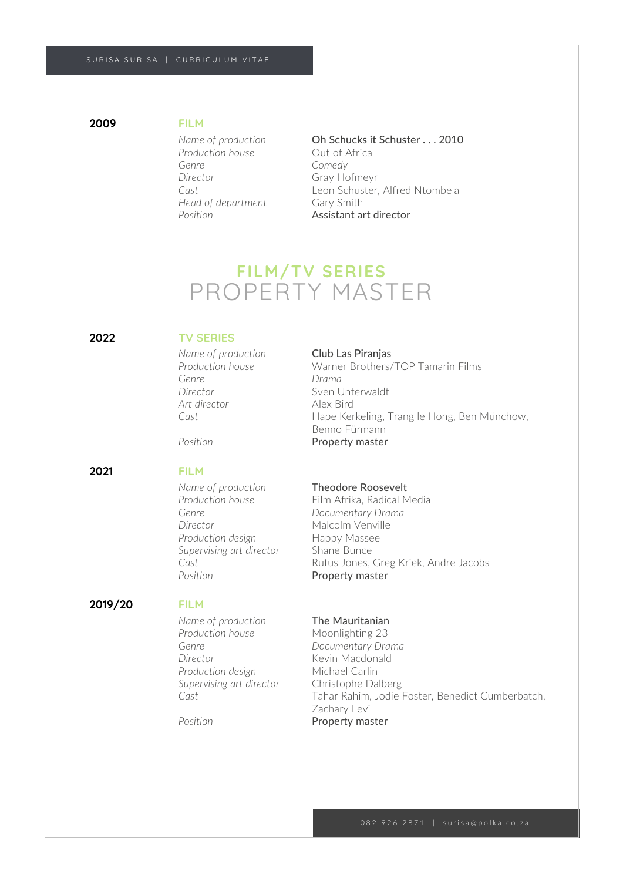**Production house Out of Africa** *Genre Comedy Director* Gray Hofmeyr *Head of department* Gary Smith

### *Name of production* Oh Schucks it Schuster . . . 2010

*Cast* Leon Schuster, Alfred Ntombela *Position* Assistant art director

## **FILM/TV SERIES** PROPERTY MASTER

### **2022 TV SERIES**

*Genre Drama Art director* Alex Bird

### **2021 FILM**

**Production house** Film Afrika, Radical Media *Genre Documentary Drama Director* Malcolm Venville **Production design** Happy Massee *Supervising art director* Shane Bunce Position **Property master** 

### **2019/20 FILM**

*Name of production* The Mauritanian *Production house* Moonlighting 23 *Genre Documentary Drama Director* Kevin Macdonald *Production design* Michael Carlin *Supervising art director* Christophe Dalberg

### *Name of production* Club Las Piranjas

*Production house* Warner Brothers/TOP Tamarin Films *Director* Sven Unterwaldt Cast Table Kerkeling, Trang le Hong, Ben Münchow, Benno Fürmann Position **Property master** 

### *Name of production* Theodore Roosevelt

Cast Cast Rufus Jones, Greg Kriek, Andre Jacobs

*Cast* Tahar Rahim, Jodie Foster, Benedict Cumberbatch, Zachary Levi Position **Property master**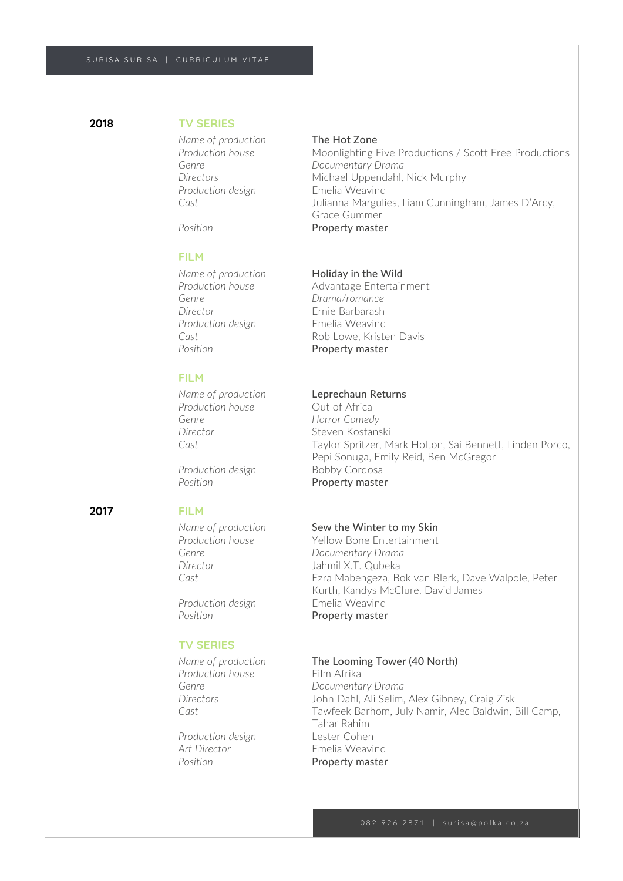*Name of production* The Hot Zone *Production design* Emelia Weavind

### **FILM**

*Director* Ernie Barbarash *Production design* Emelia Weavind Position **Property master** 

### **FILM**

*Name of production* **Leprechaun Returns**<br>**Production house Out of Africa Production house** *Genre Horror Comedy Director* Steven Kostanski

Position **Property master** 

### **2017 FILM**

Position **Property master** 

### **TV SERIES**

**Production house** Film Afrika

*Production design* Lester Cohen *Art Director* Emelia Weavind Position **Property master** 

*Production house* Moonlighting Five Productions / Scott Free Productions *Genre Documentary Drama Directors* Michael Uppendahl, Nick Murphy *Cast* Julianna Margulies, Liam Cunningham, James D'Arcy, Grace Gummer Position **Property master** 

### *Name of production* Holiday in the Wild

Production house **Advantage Entertainment**<br>
Genre **Contraction** *Drama/romance* Cast Cast Rob Lowe, Kristen Davis

*Cast* Taylor Spritzer, Mark Holton, Sai Bennett, Linden Porco, Pepi Sonuga, Emily Reid, Ben McGregor **Production design Bobby Cordosa** 

### *Name of production* Sew the Winter to my Skin

*Production house* Yellow Bone Entertainment *Genre Documentary Drama Director* Jahmil X.T. Qubeka *Cast* Ezra Mabengeza, Bok van Blerk, Dave Walpole, Peter Kurth, Kandys McClure, David James *Production design* Emelia Weavind

### *Name of production* The Looming Tower (40 North)

*Genre Documentary Drama Directors* John Dahl, Ali Selim, Alex Gibney, Craig Zisk *Cast* Tawfeek Barhom, July Namir, Alec Baldwin, Bill Camp, Tahar Rahim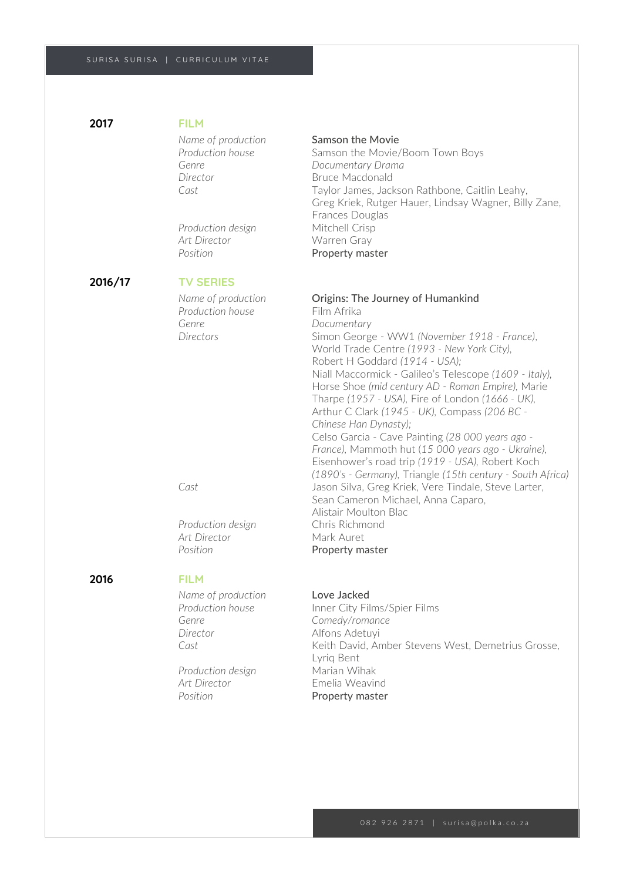| 2017    | <b>FILM</b>                                                                                                          |                                                                                                                                                                                                                                                                                                                                                                                                                                                                                                                                                                                                                                                                                                                                                                                                                                 |
|---------|----------------------------------------------------------------------------------------------------------------------|---------------------------------------------------------------------------------------------------------------------------------------------------------------------------------------------------------------------------------------------------------------------------------------------------------------------------------------------------------------------------------------------------------------------------------------------------------------------------------------------------------------------------------------------------------------------------------------------------------------------------------------------------------------------------------------------------------------------------------------------------------------------------------------------------------------------------------|
|         | Name of production<br>Production house<br>Genre<br>Director<br>Cast                                                  | <b>Samson the Movie</b><br>Samson the Movie/Boom Town Boys<br>Documentary Drama<br><b>Bruce Macdonald</b><br>Taylor James, Jackson Rathbone, Caitlin Leahy,<br>Greg Kriek, Rutger Hauer, Lindsay Wagner, Billy Zane,<br>Frances Douglas                                                                                                                                                                                                                                                                                                                                                                                                                                                                                                                                                                                         |
|         | Production design<br>Art Director<br>Position                                                                        | Mitchell Crisp<br>Warren Gray<br>Property master                                                                                                                                                                                                                                                                                                                                                                                                                                                                                                                                                                                                                                                                                                                                                                                |
| 2016/17 | <b>TV SERIES</b>                                                                                                     |                                                                                                                                                                                                                                                                                                                                                                                                                                                                                                                                                                                                                                                                                                                                                                                                                                 |
|         | Name of production<br>Production house<br>Genre<br>Directors<br>Cast<br>Production design<br>Art Director            | Origins: The Journey of Humankind<br>Film Afrika<br>Documentary<br>Simon George - WW1 (November 1918 - France),<br>World Trade Centre (1993 - New York City),<br>Robert H Goddard (1914 - USA);<br>Niall Maccormick - Galileo's Telescope (1609 - Italy),<br>Horse Shoe (mid century AD - Roman Empire), Marie<br>Tharpe (1957 - USA), Fire of London (1666 - UK),<br>Arthur C Clark (1945 - UK), Compass (206 BC -<br>Chinese Han Dynasty);<br>Celso Garcia - Cave Painting (28 000 years ago -<br>France), Mammoth hut (15 000 years ago - Ukraine),<br>Eisenhower's road trip (1919 - USA), Robert Koch<br>(1890's - Germany), Triangle (15th century - South Africa)<br>Jason Silva, Greg Kriek, Vere Tindale, Steve Larter,<br>Sean Cameron Michael, Anna Caparo,<br>Alistair Moulton Blac<br>Chris Richmond<br>Mark Auret |
|         | Position                                                                                                             | Property master                                                                                                                                                                                                                                                                                                                                                                                                                                                                                                                                                                                                                                                                                                                                                                                                                 |
| 2016    | <b>FILM</b>                                                                                                          |                                                                                                                                                                                                                                                                                                                                                                                                                                                                                                                                                                                                                                                                                                                                                                                                                                 |
|         | Name of production<br>Production house<br>Genre<br>Director<br>Cast<br>Production design<br>Art Director<br>Position | Love Jacked<br>Inner City Films/Spier Films<br>Comedy/romance<br>Alfons Adetuyi<br>Keith David, Amber Stevens West, Demetrius Grosse,<br>Lyriq Bent<br>Marian Wihak<br>Emelia Weavind<br>Property master                                                                                                                                                                                                                                                                                                                                                                                                                                                                                                                                                                                                                        |
|         |                                                                                                                      |                                                                                                                                                                                                                                                                                                                                                                                                                                                                                                                                                                                                                                                                                                                                                                                                                                 |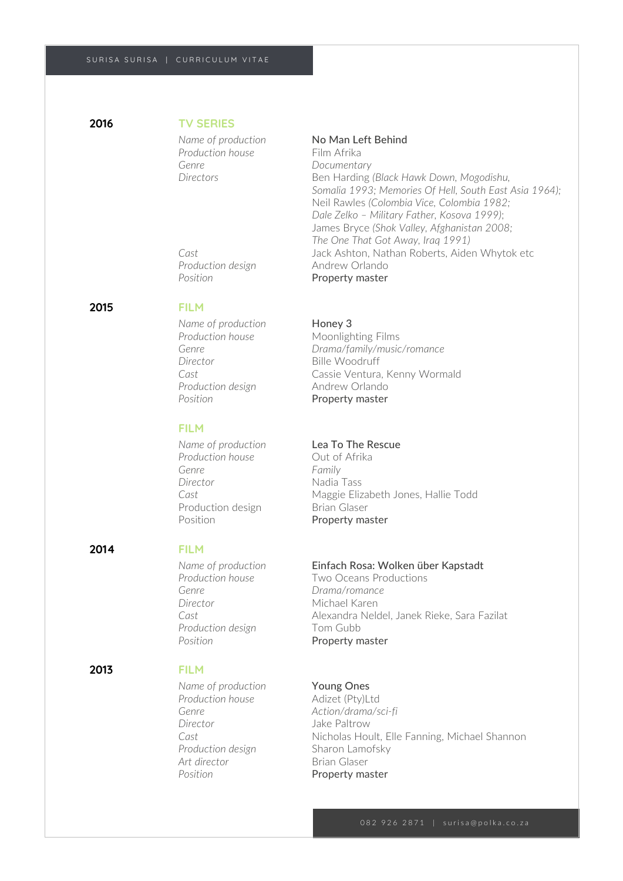**Production house** Film Afrika *Genre Documentary*

Position **Property master** 

### **2015 FILM**

*Name of production* **Honey 3** *Production house* Moonlighting Films *Director* Bille Woodruff *Production design* Andrew Orlando Position **Property master** 

### **FILM**

*Name of production* Lea To The Rescue **Production house Out of Afrika** *Genre Family Director* Nadia Tass Production design Brian Glaser Position **Property master** 

### **2014 FILM**

*Genre Drama/romance Director* Michael Karen *Production design* Tom Gubb

### **2013 FILM**

*Name of production* Young Ones *Production house* Adizet (Pty)Ltd *Director* Jake Paltrow *Production design* Sharon Lamofsky Art director **Brian Glaser** Position **Property master** 

### *Name of production* No Man Left Behind

*Directors* Ben Harding *(Black Hawk Down, Mogodishu, Somalia 1993; Memories Of Hell, South East Asia 1964);*  Neil Rawles *(Colombia Vice, Colombia 1982; Dale Zelko – Military Father, Kosova 1999)*; James Bryce *(Shok Valley, Afghanistan 2008; The One That Got Away, Iraq 1991) Cast* Jack Ashton, Nathan Roberts, Aiden Whytok etc *Production design* Andrew Orlando

*Genre Drama/family/music/romance Cast* Cassie Ventura, Kenny Wormald

Cast Cast Maggie Elizabeth Jones, Hallie Todd

### *Name of production* Einfach Rosa: Wolken über Kapstadt

*Production house* Two Oceans Productions *Cast* Alexandra Neldel, Janek Rieke, Sara Fazilat Position **Property master** 

*Genre Action/drama/sci-fi* Cast Cast Nicholas Hoult, Elle Fanning, Michael Shannon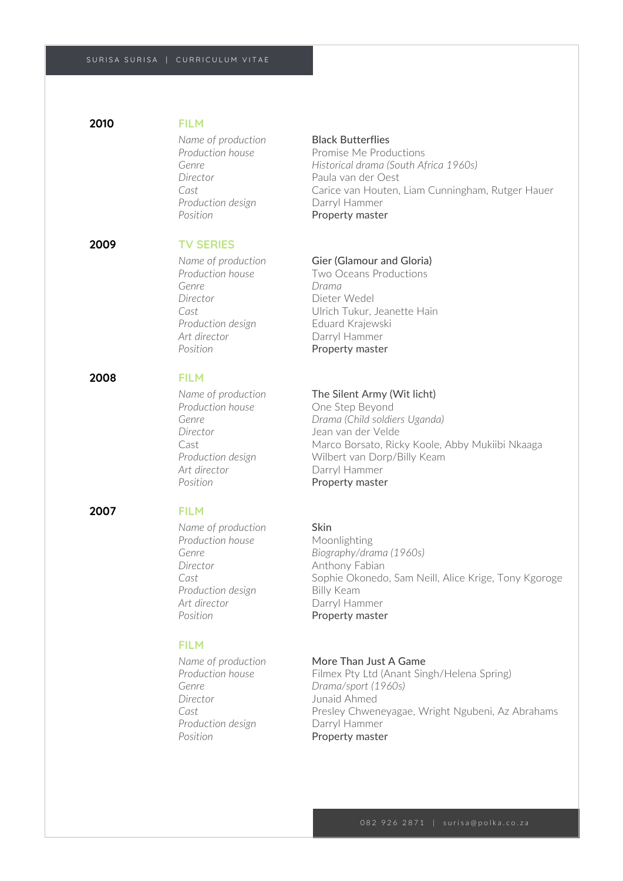*Name of production* **Black Butterflies** *Production design* Darryl Hammer Position **Property master** 

## **2009 TV SERIES**

*Genre Drama Production design* Eduard Krajewski *Art director* Darryl Hammer Position **Property master** 

### **2008 FILM**

*Name of production*<br>*Production house* **The Silent Army (Wit licht)**<br>One Step Beyond *Art director* Darryl Hammer

### **2007 FILM**

*Name of production* Skin **Production house** Moonlighting **Director Anthony Fabian Production design Billy Keam Art director Darryl Hammer**<br>**Property maste** 

### **FILM**

*Director* Junaid Ahmed **Production design Control Darryl Hammer** Position **Property master** 

**Production house** Promise Me Productions *Genre Historical drama (South Africa 1960s) Director* Paula van der Oest *Cast* Carice van Houten, Liam Cunningham, Rutger Hauer

### *Name of production* **Gier (Glamour and Gloria)**

*Production house* Two Oceans Productions *Director* Dieter Wedel *Cast* Ulrich Tukur, Jeanette Hain

*Production Beyond Genre Drama (Child soldiers Uganda) Director* Jean van der Velde Cast Marco Borsato, Ricky Koole, Abby Mukiibi Nkaaga *Production design* Wilbert van Dorp/Billy Keam Position **Property master** 

*Genre Biography/drama (1960s)* Cast Cast Sophie Okonedo, Sam Neill, Alice Krige, Tony Kgoroge **Property master** 

### *Name of production* **More Than Just A Game**

Production house **Filmex Pty Ltd (Anant Singh/Helena Spring)** *Genre Drama/sport (1960s)* Cast **Presley Chweneyagae, Wright Ngubeni, Az Abrahams**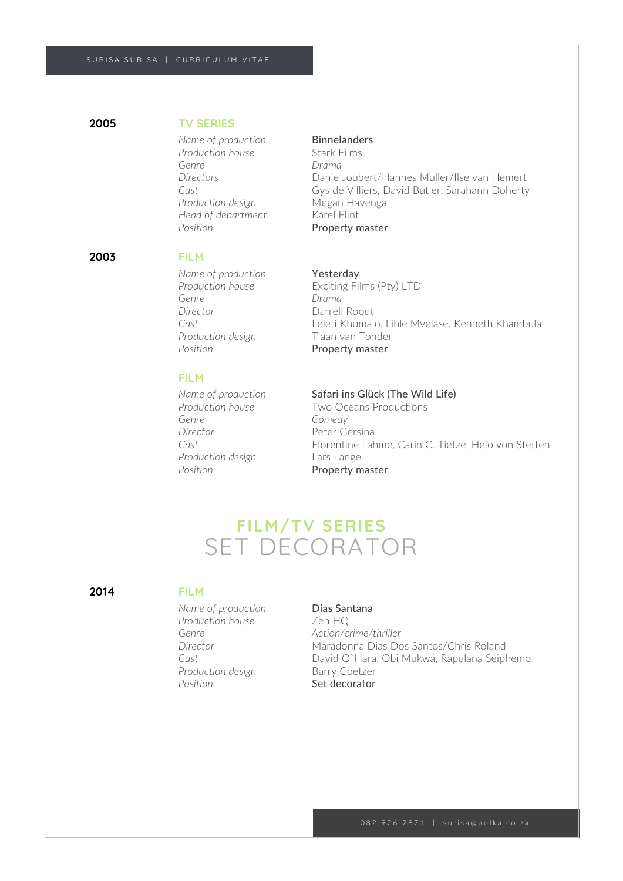### **2005 TV SERIES**

*Name of production* **Binnelanders Production house** Stark Films *Genre Drama Production design* Megan Havenga *Head of department* Karel Flint Position **Property master** 

*Directors* Danie Joubert/Hannes Muller/Ilse van Hemert Cast Cast Cast Gys de Villiers, David Butler, Sarahann Doherty

## *Name of production*<br>*Production house* **Figure Exciting Filter**

*Production house* Exciting Films (Pty) LTD *Genre Drama Director* Darrell Roodt *Cast* Leleti Khumalo, Lihle Mvelase, Kenneth Khambula Production design Tiaan van Tonder Position **Property master** 

### **FILM**

*Name of production*<br>*Production house* **Safari ins Glück (The Wild Life)**<br>Two Oceans Productions *Genre Comedy Director* Peter Gersina *Production design* Lars Lange Position **Property master** 

**Two Oceans Productions** *Cast* Florentine Lahme, Carin C. Tietze, Heio von Stetten

## **FILM/TV SERIES** SET DECORATOR

### **2014 FILM**

*Name of production* Dias Santana Production house **Zen HO Production design Barry Coetzer** Position **Set decorator** 

*Genre Action/crime/thriller Director* Maradonna Dias Dos Santos/Chris Roland *Cast* David O`Hara, Obi Mukwa, Rapulana Seiphemo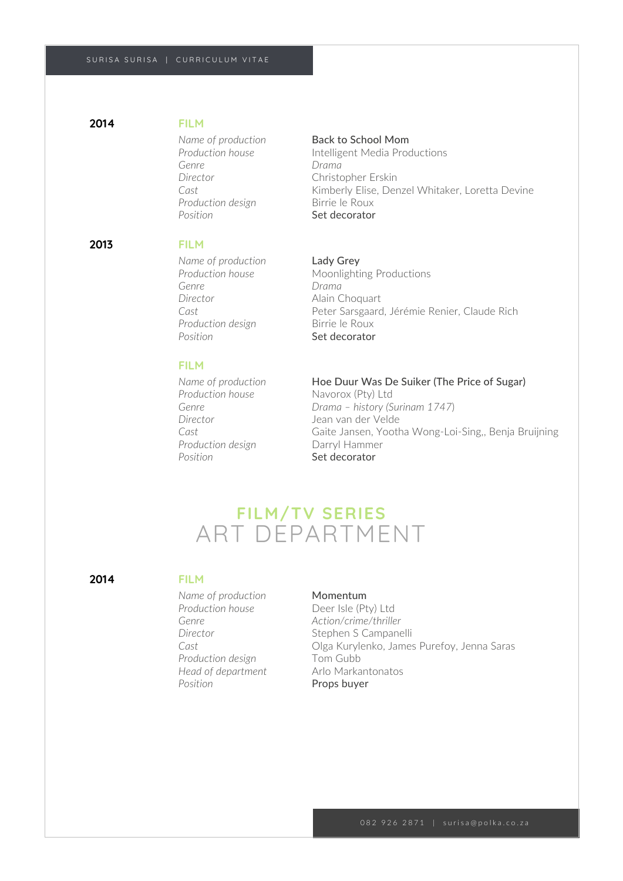**2013 FILM**

*Genre Drama Production design* Birrie le Roux *Position* Set decorator

### *Name of production* Back to School Mom

*Production house* Intelligent Media Productions *Director* Christopher Erskin *Cast* Kimberly Elise, Denzel Whitaker, Loretta Devine

### *Name of production* Lady Grey

**Production house** Moonlighting Productions<br> *Genre Drama Genre Drama Director* Alain Choquart *Cast* Peter Sarsgaard, Jérémie Renier, Claude Rich **Production design Birrie le Roux** Position **Set decorator** 

### *Name of production* Hoe Duur Was De Suiker (The Price of Sugar) **Production house** Navorox (Pty) Ltd<br> *Genre* Chama - history (S *Genre Drama – history (Surinam 1747*) *Director* Jean van der Velde *Cast* Gaite Jansen, Yootha Wong-Loi-Sing,, Benja Bruijning *Production design* Darryl Hammer

## **FILM/TV SERIES** ART DEPARTMENT

Position **Set decorator** 

### **2014 FILM**

**FILM**

*Name of production* **Momentum** *Production house* Deer Isle (Pty) Ltd *Genre Action/crime/thriller Production design* Tom Gubb *Head of department* Arlo Markantonatos Position **Props buyer** 

**Director** Stephen S Campanelli *Cast* Olga Kurylenko, James Purefoy, Jenna Saras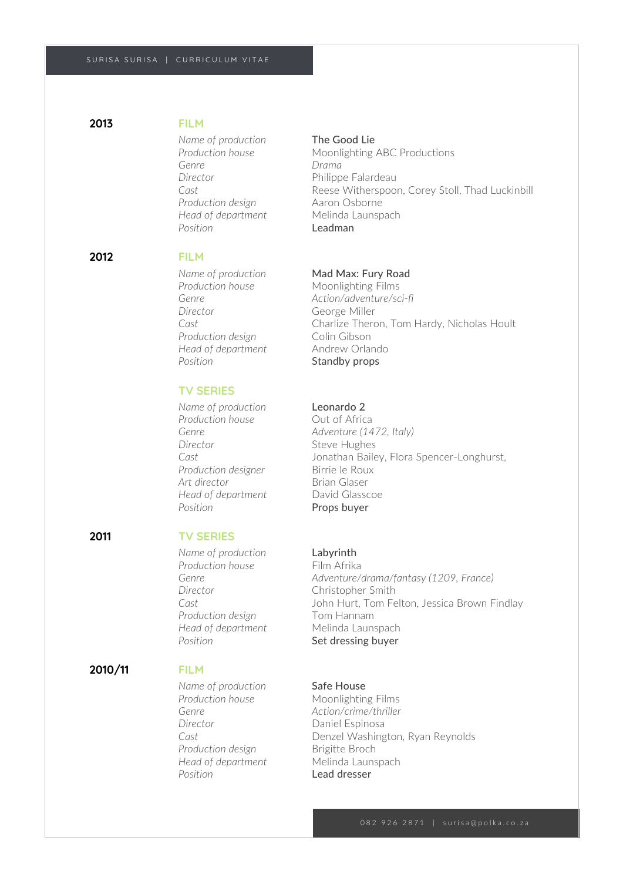*Name of production* The Good Lie *Genre Drama Director* Philippe Falardeau *Production design* Aaron Osborne *Head of department* Melinda Launspach *Position* Leadman

### **2012 FILM**

*Production house* Moonlighting Films<br>*Genre Action/adventure/sc Director* George Miller **Production design Colin Gibson** *Head of department* Andrew Orlando Position **Standby props** 

### **TV SERIES**

*Name of production* **Leonardo 2**<br>**Production house Out of Africa** *Production house Director* Steve Hughes *Production designer* Birrie le Roux **Art director Brian Glaser** *Head of department* David Glasscoe Position **Props buyer** 

### **2011 TV SERIES**

*Name of production* Labyrinth Production house Film Afrika *Director* Christopher Smith *Production design* Tom Hannam

### **2010/11 FILM**

*Name of production* **Safe House** *Production house* Moonlighting Films *Director* Daniel Espinosa **Production design Figitte Broch** *Head of department* Melinda Launspach *Position* Lead dresser

*Production house* Moonlighting ABC Productions Cast Cast Reese Witherspoon, Corey Stoll, Thad Luckinbill

### *Name of production* **Mad Max: Fury Road**

*Genre Action/adventure/sci-fi* Cast Cast Charlize Theron, Tom Hardy, Nicholas Hoult

*Genre Adventure (1472, Italy) Cast* Jonathan Bailey, Flora Spencer-Longhurst,

*Genre Adventure/drama/fantasy (1209, France) Cast* John Hurt, Tom Felton, Jessica Brown Findlay *Head of department* Melinda Launspach Position **Set dressing buyer** 

*Genre Action/crime/thriller* Cast **Cast** Denzel Washington, Ryan Reynolds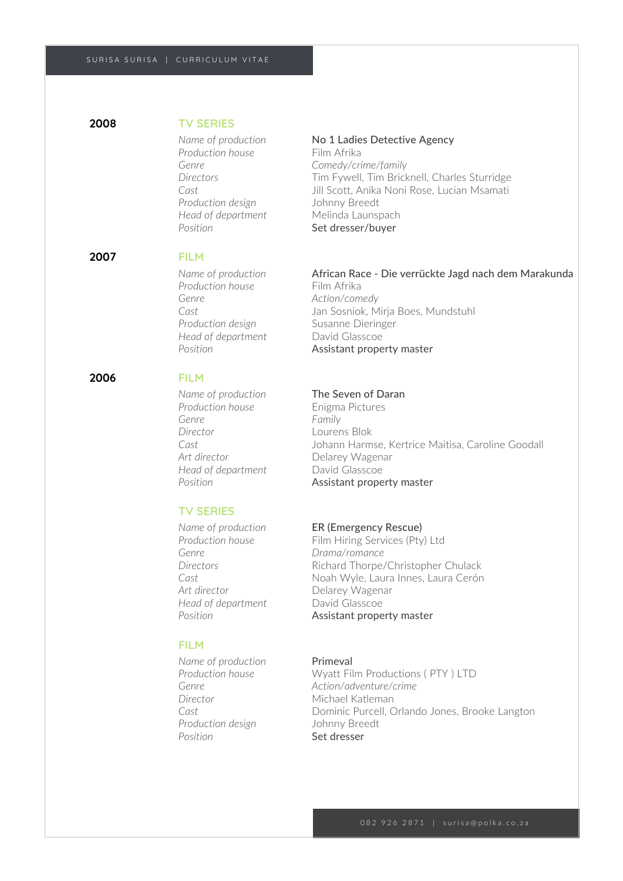**Production house** Film Afrika *Production design* Johnny Breedt Position **Set dresser/buyer** 

### **2007 FILM**

**Production house** Film Afrika<br>*Genre* Action/com Production design Susanne Dieringer *Head of department* David Glasscoe

### **2006 FILM**

*Name of production* The Seven of Daran<br>**Production house** Enigma Pictures **Production house** *Genre Family Director* Lourens Blok *Art director* Delarey Wagenar *Head of department* David Glasscoe

### **TV SERIES**

*Genre Drama/romance Art director* Delarey Wagenar *Head of department* David Glasscoe

### **FILM**

*Name of production* **Primeval** *Director* Michael Katleman *Production design* Johnny Breedt Position **Set dresser** 

### Name of production<br>
No 1 Ladies Detective Agency

*Genre Comedy/crime/family Directors* Tim Fywell, Tim Bricknell, Charles Sturridge *Cast* Jill Scott, Anika Noni Rose, Lucian Msamati *Head of department* Melinda Launspach

### *Name of production* African Race - Die verrückte Jagd nach dem Marakunda

Action/comedy *Cast* Jan Sosniok, Mirja Boes, Mundstuhl Position **Assistant property master** 

*Cast* Johann Harmse, Kertrice Maitisa, Caroline Goodall Position **Assistant property master** 

### *Name of production* ER (Emergency Rescue)

**Production house** Film Hiring Services (Pty) Ltd *Directors* Richard Thorpe/Christopher Chulack Cast **Cast** Noah Wyle, Laura Innes, Laura Cerón Position **Assistant property master** 

*Production house* Wyatt Film Productions ( PTY ) LTD *Genre Action/adventure/crime* Cast Cast Dominic Purcell, Orlando Jones, Brooke Langton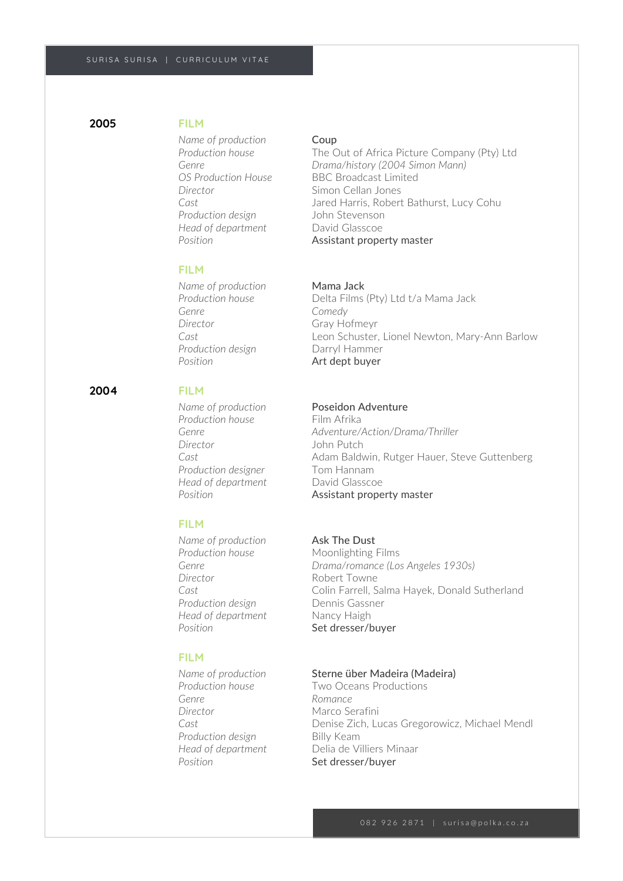*Name of production* **Coup** *Director* Simon Cellan Jones *Production design* John Stevenson *Head of department* David Glasscoe

### **FILM**

*Name of production* **Mama Jack**<br>**Production house Delta Films** *Genre Comedy Director* Gray Hofmeyr *Production design* Darryl Hammer Position **Art dept buyer** 

### **2004 FILM**

*Name of production*<br>**Production house Production Adventure**<br>Film Afrika **Production house** *Director* John Putch *Production designer* Tom Hannam *Head of department* David Glasscoe

### **FILM**

*Name of production* **Ask The Dust** *Production house* Moonlighting Films *Director* Robert Towne *Production design* Dennis Gassner *Head of department* Nancy Haigh Position **Set dresser/buyer** 

### **FILM**

*Production house* Two Oceans Productions *Genre Romance Director* Marco Serafini **Production design Billy Keam** Position **Set dresser/buyer** 

*Production house* The Out of Africa Picture Company (Pty) Ltd *Genre Drama/history (2004 Simon Mann)* **OS Production House** BBC Broadcast Limited *Cast* Jared Harris, Robert Bathurst, Lucy Cohu **Position Assistant property master** 

*Production house* Delta Films (Pty) Ltd t/a Mama Jack *Cast* Leon Schuster, Lionel Newton, Mary-Ann Barlow

*Genre Adventure/Action/Drama/Thriller* Cast Cast Cast Adam Baldwin, Rutger Hauer, Steve Guttenberg Position **Assistant property master** 

*Genre Drama/romance (Los Angeles 1930s) Cast* Colin Farrell, Salma Hayek, Donald Sutherland

### *Name of production* Sterne über Madeira (Madeira)

Cast **Cast Cast** Denise Zich, Lucas Gregorowicz, Michael Mendl *Head of department* Delia de Villiers Minaar